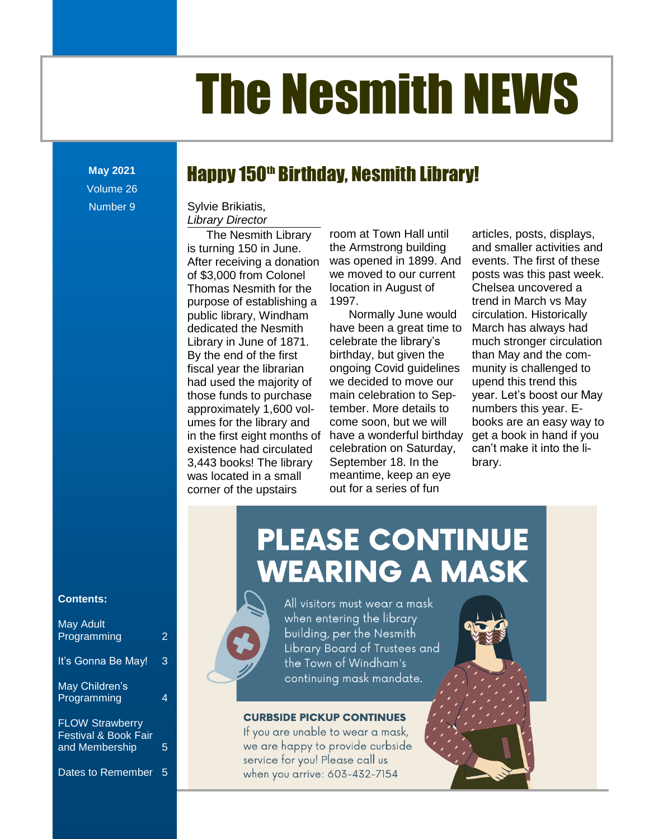# The Nesmith NEWS

**May 2021** Volume 26 Number 9

### Happy 150<sup>th</sup> Birthday, Nesmith Library!

Library Director Sylvie Brikiatis,

**Contents** approximately 1,600 vol-[Take the Digital Challenge...................................................................................................................](file:///C:/Users/Joyce/Documents/Nesmith/2013/Feb%202013/NN02_13.doc%23_Toc347430585)**Error! Bookmark not defined.** The Nesmith Library is turning 150 in June. After receiving a donation of \$3,000 from Colonel Thomas Nesmith for the purpose of establishing a public library, Windham dedicated the Nesmith Library in June of 1871. By the end of the first fiscal year the librarian had used the majority of those funds to purchase umes for the library and in the first eight months of existence had circulated 3,443 books! The library was located in a small corner of the upstairs

room at Town Hall until the Armstrong building we moved to our current location in August of 1997.

Normally June would celebrate the library's ongoing Covid guidelines we decided to move our main celebration to September. More details to come soon, but we will ocated in a small and meantime, keep an eye r of the upstairs **COULT ACULT EXECUTE:** Out for a series of fun socks. The library coptention for the conditions.

receiving a donation was opened in 1899. And events. The first of these ated the Nesmith have been a great time to March has always had e end of the first hirthday, but given the he than May and the comfirst eight months of have a wonderful birthday get a book in hand if you nce had circulated celebration on Saturday, can't make it into the li-New Orleans in the United.<br>New Yorks! The library September 18. In the strary. The Nesmith Library broom at Town Hall until bunticles, posts, displays, hing 150 in June. The Armstrong building and smaller activities and events. The first of these **Post was a select ware the set of the set of the set of the set of the set of the set of the set of the set of the set of the set of the set of the set of the set of the set of the set of the set of the set of the set of** Chelsea uncovered a ise of establishing a 4997. **Exercise 1997** trend in March vs May Iibrary, Windham and Normally June would acirculation. Historically March has always had area the Neemann of the coefficial stronger circulation with the coefficient of the fine of the fine of 1871. Celebrate the library's much stronger circulation than May and the community is challenged to upend this trend this year. Let's boost our May numbers this year. Ees for the library and come soon, but we will books are an easy way to get a book in hand if you can't make it into the library. SOO HOM COMMET WE HAVE NO GROUPED FOODS WAS THE PAST WEEK. as Nesmith for the collution in August of the Uneisea uncovered a [New Non-Fiction Titles in the Children's Room....................................................................................](file:///C:/Users/Joyce/Documents/Nesmith/2013/Feb%202013/NN02_13.doc%23_Toc347430558)**Error! Bookmark not defined.**

### **Contents:**

| <b>May Adult</b><br>Programming                           | 2 |
|-----------------------------------------------------------|---|
| It's Gonna Be May!                                        | 3 |
| May Children's<br>Programming                             | 4 |
| <b>FLOW Strawberry</b><br><b>Festival &amp; Book Fair</b> |   |

Festival & Book Fair and Membership 5

#### Dates to Remember 5





All visitors must wear a mask when entering the library building, per the Nesmith Library Board of Trustees and the Town of Windham's continuing mask mandate.

### **CURBSIDE PICKUP CONTINUES**

If you are unable to wear a mask, we are happy to provide curbside service for you! Please call us when you arrive: 603-432-7154



[From the Children's Room: February Vacation Programs](file:///C:/Users/Joyce/Documents/Nesmith/2013/Feb%202013/NN02_13.doc%23_Toc347430586) ...................................................................**Error! Bookmark not defined.**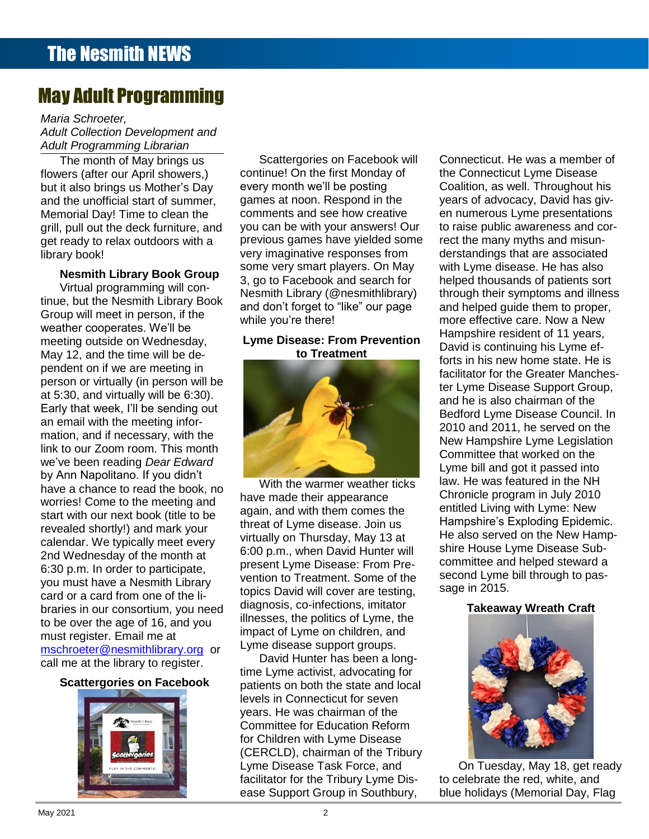### May Adult Programming

**Contents** *Adult Programming Librarian Maria Schroeter, Adult Collection Development and* 

The month of May brings us flowers (after our April showers,) but it also brings us Mother's Day and the unofficial start of summer, Memorial Day! Time to clean the grill, pull out the deck furniture, and library book!

### **Nesmith Library Book Group**

weather cooperates. We'll be pendent on if we are meeting in **Error Communistance and Communistance** and Communistance and Creator Manches-New Definition or virtually (in person will be a second or the contract of the Cheater Markhes-[From the Children's Room: February Vacation Programs](file:///C:/Users/Joyce/Documents/Nesmith/2013/Feb%202013/NN02_13.doc%23_Toc347430586) ...................................................................**Error! Bookmark not defined.** mation, and if necessary, with the Toddler Story Time [..............................................................................................................................](file:///C:/Users/Joyce/Documents/Nesmith/2013/Feb%202013/NN02_13.doc%23_Toc347430587)**Error! Bookmark not defined.** link to our Zoom room. This month have a chance to read the book, no<br>werriped Come to the meeting and Virtual programming will continue, but the Nesmith Library Book Group will meet in person, if the meeting outside on Wednesday, May 12, and the time will be deat 5:30, and virtually will be 6:30). Early that week, I'll be sending out an email with the meeting inforwe've been reading *Dear Edward* by Ann Napolitano. If you didn't worries! Come to the meeting and start with our next book (title to be revealed shortly!) and mark your calendar. We typically meet every 2nd Wednesday of the month at 6:30 p.m. In order to participate, you must have a Nesmith Library card or a card from one of the libraries in our consortium, you need to be over the age of 16, and you must register. Email me at [mschroeter@nesmithlibrary.org](mailto:mschroeter@nesmithlibrary.org) or call me at the library to register.

### **Scattergories on Facebook**



The month of May brings us Scattergories on Facebook will Connecticut. He was a member of ne ment contage and going on the first Monday of the Connecticut Lyme Disease [Dreams................................................................................................................................................](file:///C:/Users/Joyce/Documents/Nesmith/2013/Feb%202013/NN02_13.doc%23_Toc347430550)**Error! Bookmark not defined.** also brings us Mother's Day every month we'll be posting Coalition, as well. Throughout his he unofficial start of summer, games at noon. Respond in the years of advocacy, David has givorial Day! Time to clean the comments and see how creative en numerous Lyme presentations pull out the deck furniture, and you can be with your answers! Our to raise public awareness and corpair out the deel furniture, and the Digital Charles many pair and the failure of the entire and misure the property of the property of the property of the property of the property of the property of the property of the pr get ready to relax outdoors with a correvious games have yielded some crect the many myths and misuny book!<br>
very imaginative responses from derstandings that are associated some very smart players. On May in the Universe of the has also  $\frac{1}{2}$  building  $\frac{1}{2}$  building  $\frac{1}{2}$  subsetspace of Facebook and search for the left thousands of patients sort Scattergories on Facebook will every month we'll be posting games at noon. Respond in the comments and see how creative 3, go to Facebook and search for Nesmith Library (@nesmithlibrary) and don't forget to "like" our page while you're there!

### **Lyme Disease: From Prevention to Treatment**



With the warmer weather ticks have made their appearance again, and with them comes the threat of Lyme disease. Join us virtually on Thursday, May 13 at 6:00 p.m., when David Hunter will present Lyme Disease: From Prevention to Treatment. Some of the topics David will cover are testing, diagnosis, co-infections, imitator illnesses, the politics of Lyme, the impact of Lyme on children, and Lyme disease support groups.

David Hunter has been a longtime Lyme activist, advocating for patients on both the state and local levels in Connecticut for seven years. He was chairman of the Committee for Education Reform for Children with Lyme Disease (CERCLD), chairman of the Tribury Lyme Disease Task Force, and facilitator for the Tribury Lyme Disease Support Group in Southbury,

ethig butside on wearlesday, explore piscase. From Prevention David is continuing his Lyme ef-The Court Case of the Court Case is the Court Case of the Court Case of the Court of the Court of the Court of the in his new home state. He is a state of the is the Connecticut Lyme Disease to raise public awareness and correct the many myths and misunderstandings that are associated with Lyme disease. He has also through their symptoms and illness and helped guide them to proper, more effective care. Now a New Hampshire resident of 11 years, facilitator for the Greater Manches-New Hampshire Lyme Legislation law. He was featured in the NH Chronicle program in July 2010 entitled Living with Lyme: New Hampshire's Exploding Epidemic. He also served on the New Hampshire House Lyme Disease Subcommittee and helped steward a second Lyme bill through to passage in 2015.

### **Takeaway Wreath Craft**



On Tuesday, May 18, get ready to celebrate the red, white, and blue holidays (Memorial Day, Flag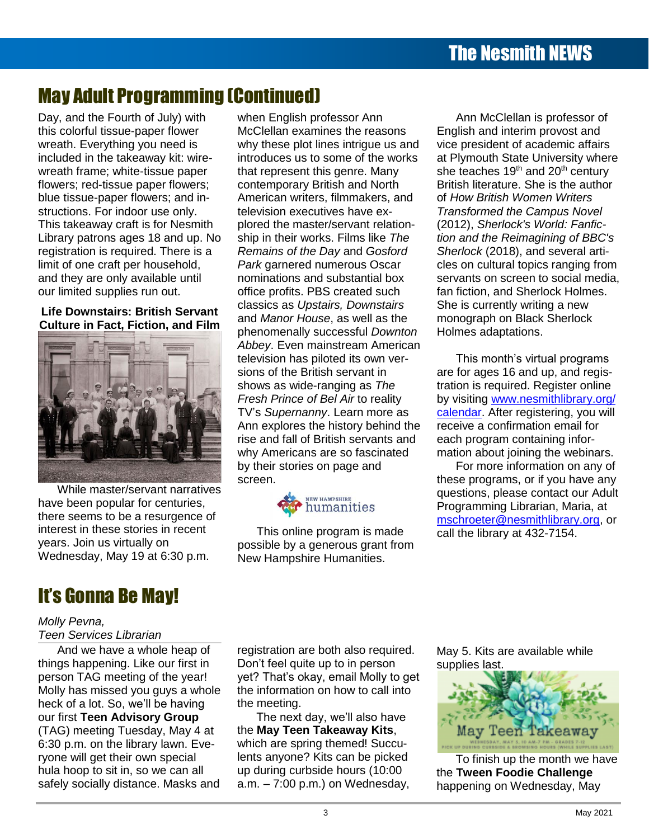## May Adult Programming (Continued)

Day, and the Fourth of July) with this colorful tissue-paper flower and content accupating you need is included in the takeaway kit: wirewreath frame; white-tissue paper flowers; red-tissue paper flowers; blue tissue-paper flowers; and instructions. For indoor use only. This takeaway craft is for Nesmith Library patrons ages 18 and up. No registration is required. There is a limit of one craft per household, and they are only available until our limited supplies run out.

**Life Downstairs: British Servant Culture in Fact, Fiction, and Film Contents**



While master/servant narratives While master/servant narrativ<br>have been popular for centuries, there seems to be a resurgence of interest in these stories in recent years. Join us virtually on Wednesday, May 19 at 6:30 p.m.

### It's Gonna Be May!

### *Molly Pevna,*

### **Teen Services Librarian**

And we have a whole heap of things happening. Like our first in person TAG meeting of the year! Molly has missed you guys a whole our first **Teen Advisory Group** (TAG) meeting Tuesday, May 4 at 6:30 p.m. on the library lawn. Everyone will get their own special hula hoop to sit in, so we can all safely socially distance. Masks and

when English professor Ann McClellan examines the reasons why these plot lines intrigue us and introduces us to some of the works that represent this genre. Many contemporary British and North begave paper nowers, the contempotary British and North British included. One is the datition<br>issue-paper flowers; and in-<br> television executives have exakeaway craft is for Nesmith plored the master/servant relation- (2012), Sherlock's World: Fanficship in their works. Films like *The Remains of the Day* and *Gosford Park* garnered numerous Oscar nominations and substantial box office profits. PBS created such classics as *Upstairs, Downstairs* and *Manor House*, as well as the phenomenally successful *Downton*  Abbey. Even mainstream American experience of the state of the state of the Abbey. Even mainstream American television has piloted its own ver-Supreme Court Cases [.........................................................................................................................](file:///C:/Users/Joyce/Documents/Nesmith/2013/Feb%202013/NN02_13.doc%23_Toc347430579)**Error! Bookmark not defined.** sions of the British servant in shows as wide-ranging as *The Fresh Prince of Bel Air* to reality TV's *Supernanny*. Learn more as Ann explores the history behind the [Take the Digital Challenge...................................................................................................................](file:///C:/Users/Joyce/Documents/Nesmith/2013/Feb%202013/NN02_13.doc%23_Toc347430585)**Error! Bookmark not defined.** rise and fall of British servants and [From the Children's Room: February Vacation Programs](file:///C:/Users/Joyce/Documents/Nesmith/2013/Feb%202013/NN02_13.doc%23_Toc347430586) ...................................................................**Error! Bookmark not defined.** why Americans are so fascinated by their stories on page and screen. uded in the takeaway kit: wire- introduces us to some of the works at Plymouth State University where h frame; white-tissue paper bthat represent this genre. Many she teaches 19<sup>th</sup> and 20<sup>th</sup> century rs; red-tissue paper flowers; contemporary British and North British literature. She is the author ions. For indoor use only. **The Reference Corners** is a vertex-<br>
Transformed the Campus Novel y patrons ages 18 and up. No ship in their works. Films like The ion and the Reimagining of BBC's *S* patterns ages Te and apprice Temp in their memory line and the Trom the Trom againing of EBS of ration is required. There is a Remains of the Day and Gosford Sherlock (2018), and several artif one craft per household, *Park* garnered numerous Oscar and cles on cultural topics ranging from ney are only available until examinations and substantial box servants on screen to social media, are for ages 16 and up, and regisshows as wide-ranging as The tration is required. Register online The Reference of Bel Air to reality by visiting [www.nesmithlibrary.org/](http://www.nesmithlibrary.org/%0bcalendar) **Events Adult Adult Adult Adult Adult Adult Adult Adult Adult Adult Adult Adult Adult Adult Adult Adult Adult A** The and fail of British servants and each program containing infor-<br>Why Americans are so fascinated mation about joining the webinars. and The Muslim by their stories on page and The Muslim on any of ssue-paper nowers, and in-<br>Internet annually written in the internet and the final of the principal written's Todion is required. There is a refinants of the Day and Oostory of Diferrock (2010), and several diff shows as wide-ranging as *The* analogical equiled. Register online Non-Fiction Titles in the Children's Americans are so rascinated mation about joining the webinars.



This online program is made possible by a generous grant from New Hampshire Humanities.

Ann McClellan is professor of English and interim provost and vice president of academic affairs of *How British Women Writers*  (2012), *Sherlock's World: Fanfic*fan fiction, and Sherlock Holmes. She is currently writing a new monograph on Black Sherlock Holmes adaptations.

This month's virtual programs receive a confirmation email for each program containing infor-

these programs, or if you have any questions, please contact our Adult Programming Librarian, Maria, at [mschroeter@nesmithlibrary.org,](mailto:mschroeter@nesmithlibrary.org) or call the library at 432-7154.

gs happening. Like our first in Don't feel quite up to in person supplies last. Supponing. Enc. of first in Don't Court op to in posson supplies last. n TAG meeting of the year! yet? That's okay, email Molly to get has missed you guys a whole the information on how to call into heck of a lot. So, we'll be having the meeting. The set of the set of the set of the set of the set of the set registration are both also required. the meeting.

will get their own special lents anyone? Kits can be picked To finish up the month we have

May 5. Kits are available while supplies last.



noop to sit in, so we can all expediting curbside hours (10:00 the **Tween Foodie Challenge** or Product States, 2008. In the Product of the Maritime Company of the Milletter Company of the Maring Chandle<br>Socially distance. Masks and a.m. – 7:00 p.m.) on Wednesday, happening on Wednesday. May To finish up the month we have the **Tween Foodie Challenge** happening on Wednesday, May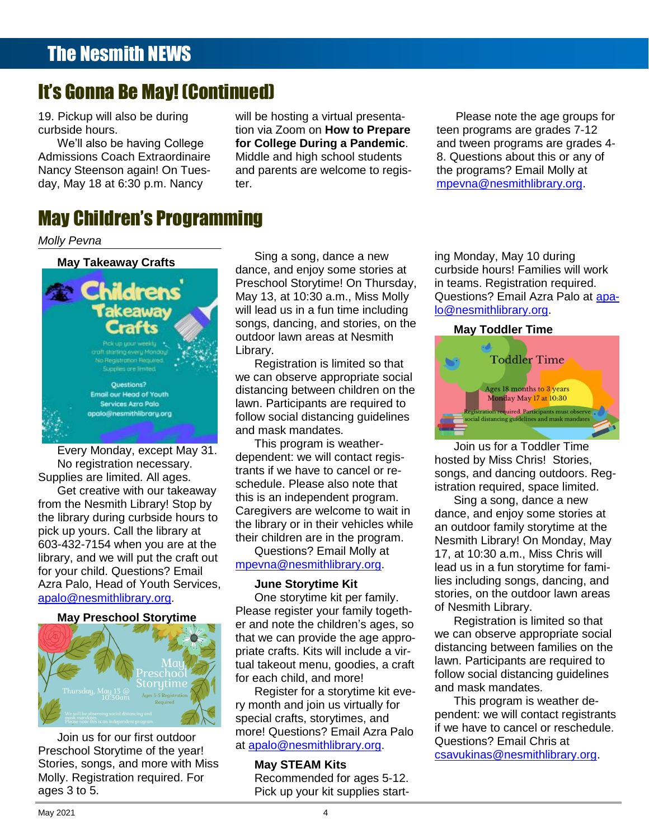### It's Gonna Be May! (Continued)

19. Pickup will also be during curbside hours.

**Contents** We'll also be having College Admissions Coach Extraordinaire Nancy Steenson again! On Tues-

nissions Coach Extraordinaire Middle and high school students b. Questions about this or any of y Steenson again! On Tues- and parents are welcome to regis- the programs? Email Molly at will be hosting a virtual presentation via Zoom on **How to Prepare for College During a Pandemic**. Middle and high school students ter.

of the programs of the computation of the product of the programs of the programs of the money at the money of the money of the money of the money of the money of the money of the money of the money of the money of the mon day, May 18 at 6:30 p.m. Nancy ter. The manufacture of the manufacture of the movies of the movies of the movie Please note the age groups for teen programs are grades 7-12 and tween programs are grades 4 the programs? Email Molly at

#### The Reference Corner: Pollution [.........................................................................................................](file:///C:/Users/Joyce/Documents/Nesmith/2013/Feb%202013/NN02_13.doc%23_Toc347430553)**Error! Bookmark not defined.** Upcoming Young Adult Events [............................................................................................................](file:///C:/Users/Joyce/Documents/Nesmith/2013/Feb%202013/NN02_13.doc%23_Toc347430554)**Error! Bookmark not defined.** May Children's Programming [Take the Digital Challenge...................................................................................................................](file:///C:/Users/Joyce/Documents/Nesmith/2013/Feb%202013/NN02_13.doc%23_Toc347430555)**Error! Bookmark not defined.**

#### [From the Children's Room: February Vacation Programs](file:///C:/Users/Joyce/Documents/Nesmith/2013/Feb%202013/NN02_13.doc%23_Toc347430556) ...................................................................**Error! Bookmark not defined.** *Molly Pevna*



s Supplies are limited. All ages. from the Nesmith Library! Stop by this is an independent program.<br>from the Nesmith Library! Stop by Corealisers are violence to welt in the Sing a song, dance a new the library during curbside hours to pick up yours. Call the library at 603-432-7154 when you are at the end of conditions? Email Mally at the second of the contrary! On Monday, May library, and we will put the craft out [From the Children's Room: February Vacation Programs](file:///C:/Users/Joyce/Documents/Nesmith/2013/Feb%202013/NN02_13.doc%23_Toc347430586) ...................................................................**Error! Bookmark not defined.** for your child. Questions? Email Azra Palo, Head of Youth Services, [apalo@nesmithlibrary.org.](mailto:apalo@nesmithlibrary.org)

### **May Preschool Storytime**



Join us for our first outdoor Preschool Storytime of the year! Stories, songs, and more with Miss Molly. Registration required. For ages 3 to 5.

**Example 21 Todo of Crofts** Sing a song, dance a new ing Monday, May 10 during New Non-Fiction Titles in the Children's Room [...................................................................................](file:///C:/Users/Joyce/Documents/Nesmith/2013/Feb%202013/NN02_13.doc%23_Toc347430558)**Error! Bookmark not defined.** curbside hours! Families will work dance, and enjoy some stories at curbside hours! Families will work **PICK UD LOCAL CONTRACT AND CONTRACT OUTCOOL CONTRACT OUTCOOL CONTRACT OUTCOOL CONTRACT AND CONTRACT OUTCOOL CONTRACT ON A VALUE OF A VALUE OF A VALUE OF A VALUE OF A VALUE OF A VALUE OF A VALUE OF A VALUE OF A VALUE OF A** Sing a song, dance a new **Example 20 Preschool Storytime! On Thursday, in teams. Registration required.** May 13, at 10:30 a.m., Miss Molly **Takeaway** will lead us in a fun time including <u>lo@nesmithlibrary.org</u> **Conservation of the Conservation of the Conservation of the Conservation of the Conservation of the Conservation of the Conservation of the Conservation of the Conservation of the Conservation of the Conservation of the C** Library. **Confidit Chs** May 13, at 10:30 a.m., Miss Molly Questions? Email Azra Palo at [apa-](mailto:apalo@nesmithlibrary.org)[New DVD.............................................................................................................................................](file:///C:/Users/Joyce/Documents/Nesmith/2013/Feb%202013/NN02_13.doc%23_Toc347430551)**Error! Bookmark not defined.**

Upcoming Young Adult Events [............................................................................................................](file:///C:/Users/Joyce/Documents/Nesmith/2013/Feb%202013/NN02_13.doc%23_Toc347430584)**Error! Bookmark not defined.**

This program is weather-<br>
This program is weather-<br>
Join us for a Toddler Time Get creative with our takeaway additional rease also note that **Stration required, space limited.** dependent: we will contact registhis is an independent program. Caregivers are welcome to wait in The reference correspondent in the library or in their vehicles while an outdoor family storytime at the library of ip yours. Call the library at<br>22.7154 when you are at the the children are in the program. Nesmith Library! On Monday, May dance, and enjoy store by the process are welcome to wait in dance, and enjoy some stories at and the process of

Questions? Email Molly at [mpevna@nesmithlibrary.org.](mailto:mpevna@nesmithlibrary.org)

### **June Storytime Kit**

One storytime kit per family. Please register your family together and note the children's ages, so that we can provide the age appropriate crafts. Kits will include a virtual takeout menu, goodies, a craft for each child, and more!

Register for a storytime kit every month and join us virtually for special crafts, storytimes, and more! Questions? Email Azra Palo at [apalo@nesmithlibrary.org.](mailto:apalo@nesmithlibrary.org)

# **May STEAM Kits**

Recommended for ages 5-12. Pick up your kit supplies startin teams. Registration required. [lo@nesmithlibrary.org.](mailto:apalo@nesmithlibrary.org)

### **May Toddler Time**



New Non-Fiction Titles in the Children's Room [...................................................................................](file:///C:/Users/Joyce/Documents/Nesmith/2013/Feb%202013/NN02_13.doc%23_Toc347430588)**Error! Bookmark not defined.** Every Monday, except May 31. **Contents** No registration necessary. The example in the war contact registration in the contact registration necessary. rio registration riccessary.<br>plies are limited. All ages in the trants if we have to cancel or re-<br>plies are limited. All ages les are limited. All ages.<br>et erective with our teleculory schedule. Please also note that istration required, space limited. Join us for a Toddler Time hosted by Miss Chris! Stories, songs, and dancing outdoors. Registration required, space limited.

Sing a song, dance a new an outdoor family storytime at the Nesmith Library! On Monday, May 17, at 10:30 a.m., Miss Chris will If the fight of the contract of the monometric method of the monometric method is in a fun storytime for fami-<br>In child Questions? Email lies including songs, dancing, and New Non-Fiction Titles in the Children's Room [...................................................................................](file:///C:/Users/Joyce/Documents/Nesmith/2013/Feb%202013/NN02_13.doc%23_Toc347430588)**Error! Bookmark not defined.**  $\frac{1}{2}$  and, i lead of Tourn Services, but is our station of the station of the station of the outdoor lawn areas of Nesmith Library.

> Registration is limited so that we can observe appropriate social distancing between families on the lawn. Participants are required to follow social distancing guidelines and mask mandates.

This program is weather dependent: we will contact registrants if we have to cancel or reschedule. Questions? Email Chris at [csavukinas@nesmithlibrary.org.](mailto:csavukinas@nesmithlibrary.org)